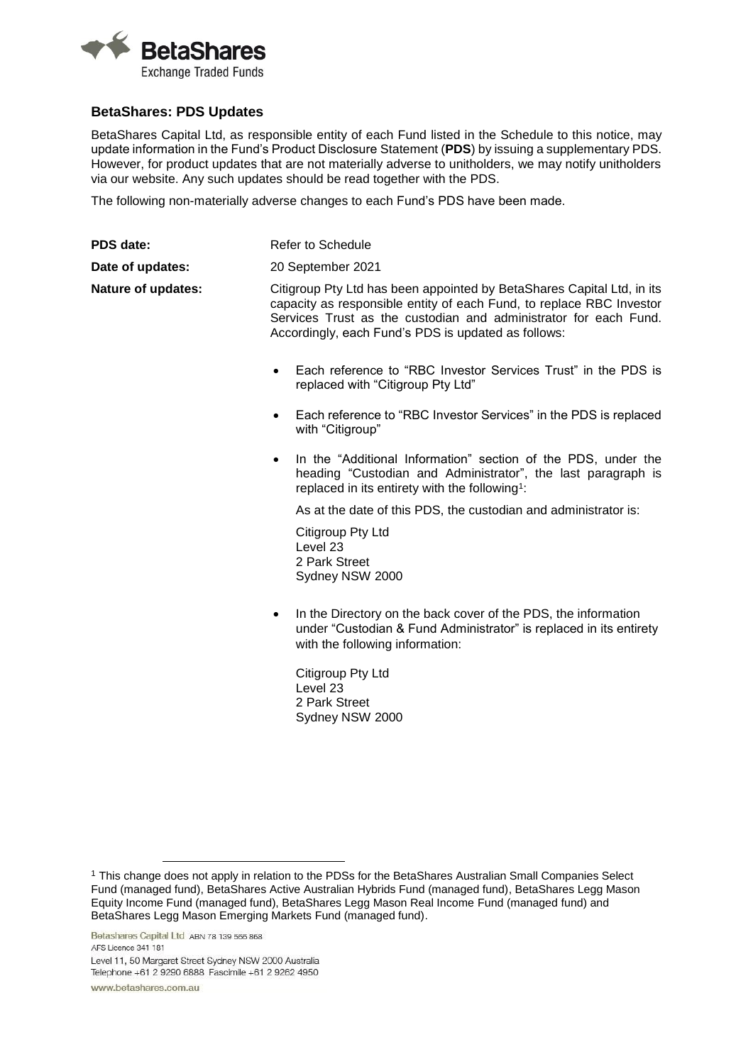

## **BetaShares: PDS Updates**

BetaShares Capital Ltd, as responsible entity of each Fund listed in the Schedule to this notice, may update information in the Fund's Product Disclosure Statement (**PDS**) by issuing a supplementary PDS. However, for product updates that are not materially adverse to unitholders, we may notify unitholders via our website. Any such updates should be read together with the PDS.

The following non-materially adverse changes to each Fund's PDS have been made.

| PDS date:                 | Refer to Schedule                                                                                                                                                                                                                                                         |
|---------------------------|---------------------------------------------------------------------------------------------------------------------------------------------------------------------------------------------------------------------------------------------------------------------------|
| Date of updates:          | 20 September 2021                                                                                                                                                                                                                                                         |
| <b>Nature of updates:</b> | Citigroup Pty Ltd has been appointed by BetaShares Capital Ltd, in its<br>capacity as responsible entity of each Fund, to replace RBC Investor<br>Services Trust as the custodian and administrator for each Fund.<br>Accordingly, each Fund's PDS is updated as follows: |
|                           | Each reference to "RBC Investor Services Trust" in the PDS is<br>$\bullet$<br>replaced with "Citigroup Pty Ltd"                                                                                                                                                           |
|                           | Each reference to "RBC Investor Services" in the PDS is replaced<br>٠<br>with "Citigroup"                                                                                                                                                                                 |
|                           | In the "Additional Information" section of the PDS, under the<br>$\bullet$<br>heading "Custodian and Administrator", the last paragraph is<br>replaced in its entirety with the following <sup>1</sup> :                                                                  |
|                           | As at the date of this PDS, the custodian and administrator is:                                                                                                                                                                                                           |
|                           | Citigroup Pty Ltd<br>Level 23<br>2 Park Street<br>Sydney NSW 2000                                                                                                                                                                                                         |
|                           | In the Directory on the back cover of the PDS, the information<br>٠<br>under "Custodian & Fund Administrator" is replaced in its entirety<br>with the following information:                                                                                              |
|                           | Citigroup Pty Ltd                                                                                                                                                                                                                                                         |

Level 23 2 Park Street Sydney NSW 2000

 $\overline{a}$ 

<sup>1</sup> This change does not apply in relation to the PDSs for the BetaShares Australian Small Companies Select Fund (managed fund), BetaShares Active Australian Hybrids Fund (managed fund), BetaShares Legg Mason Equity Income Fund (managed fund), BetaShares Legg Mason Real Income Fund (managed fund) and BetaShares Legg Mason Emerging Markets Fund (managed fund).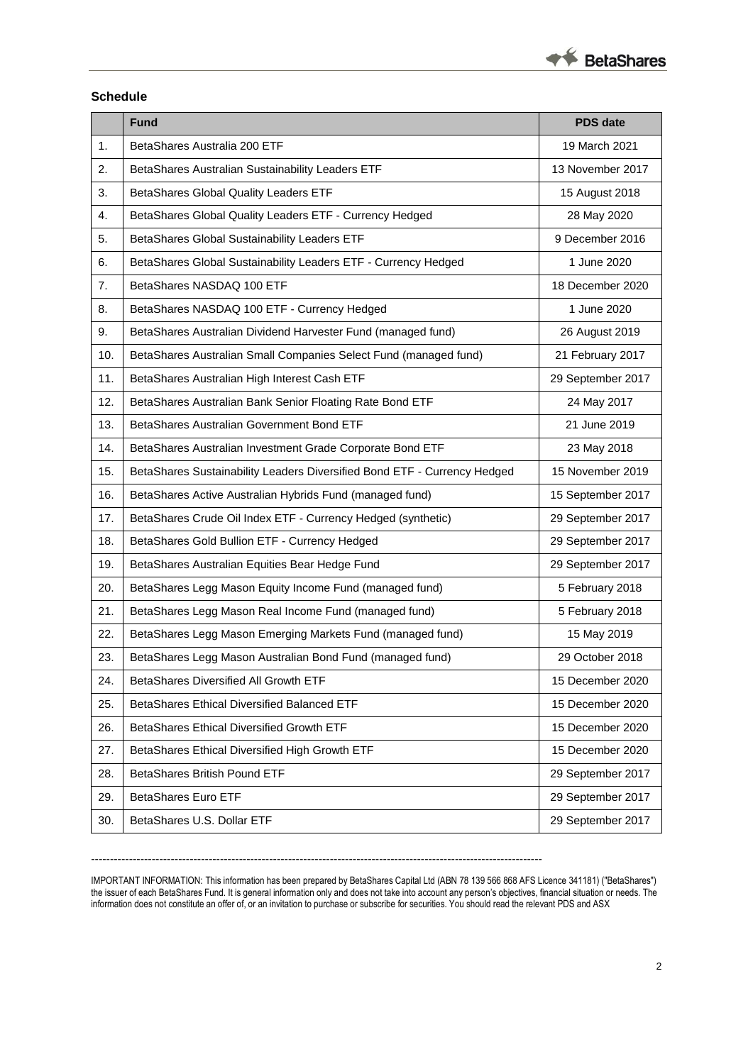

## **Schedule**

| 1.<br>BetaShares Australia 200 ETF<br>19 March 2021<br>13 November 2017<br>2.<br>BetaShares Australian Sustainability Leaders ETF<br>3.<br>BetaShares Global Quality Leaders ETF<br>15 August 2018<br>4.<br>BetaShares Global Quality Leaders ETF - Currency Hedged<br>28 May 2020<br>9 December 2016<br>5.<br>BetaShares Global Sustainability Leaders ETF<br>1 June 2020<br>6.<br>BetaShares Global Sustainability Leaders ETF - Currency Hedged<br>7.<br>BetaShares NASDAQ 100 ETF<br>18 December 2020<br>1 June 2020<br>8.<br>BetaShares NASDAQ 100 ETF - Currency Hedged<br>9.<br>BetaShares Australian Dividend Harvester Fund (managed fund)<br>26 August 2019<br>10.<br>BetaShares Australian Small Companies Select Fund (managed fund)<br>21 February 2017<br>11.<br>BetaShares Australian High Interest Cash ETF<br>29 September 2017<br>12.<br>BetaShares Australian Bank Senior Floating Rate Bond ETF<br>24 May 2017<br>21 June 2019<br>13.<br>BetaShares Australian Government Bond ETF<br>14.<br>BetaShares Australian Investment Grade Corporate Bond ETF<br>23 May 2018 |
|-------------------------------------------------------------------------------------------------------------------------------------------------------------------------------------------------------------------------------------------------------------------------------------------------------------------------------------------------------------------------------------------------------------------------------------------------------------------------------------------------------------------------------------------------------------------------------------------------------------------------------------------------------------------------------------------------------------------------------------------------------------------------------------------------------------------------------------------------------------------------------------------------------------------------------------------------------------------------------------------------------------------------------------------------------------------------------------------|
|                                                                                                                                                                                                                                                                                                                                                                                                                                                                                                                                                                                                                                                                                                                                                                                                                                                                                                                                                                                                                                                                                           |
|                                                                                                                                                                                                                                                                                                                                                                                                                                                                                                                                                                                                                                                                                                                                                                                                                                                                                                                                                                                                                                                                                           |
|                                                                                                                                                                                                                                                                                                                                                                                                                                                                                                                                                                                                                                                                                                                                                                                                                                                                                                                                                                                                                                                                                           |
|                                                                                                                                                                                                                                                                                                                                                                                                                                                                                                                                                                                                                                                                                                                                                                                                                                                                                                                                                                                                                                                                                           |
|                                                                                                                                                                                                                                                                                                                                                                                                                                                                                                                                                                                                                                                                                                                                                                                                                                                                                                                                                                                                                                                                                           |
|                                                                                                                                                                                                                                                                                                                                                                                                                                                                                                                                                                                                                                                                                                                                                                                                                                                                                                                                                                                                                                                                                           |
|                                                                                                                                                                                                                                                                                                                                                                                                                                                                                                                                                                                                                                                                                                                                                                                                                                                                                                                                                                                                                                                                                           |
|                                                                                                                                                                                                                                                                                                                                                                                                                                                                                                                                                                                                                                                                                                                                                                                                                                                                                                                                                                                                                                                                                           |
|                                                                                                                                                                                                                                                                                                                                                                                                                                                                                                                                                                                                                                                                                                                                                                                                                                                                                                                                                                                                                                                                                           |
|                                                                                                                                                                                                                                                                                                                                                                                                                                                                                                                                                                                                                                                                                                                                                                                                                                                                                                                                                                                                                                                                                           |
|                                                                                                                                                                                                                                                                                                                                                                                                                                                                                                                                                                                                                                                                                                                                                                                                                                                                                                                                                                                                                                                                                           |
|                                                                                                                                                                                                                                                                                                                                                                                                                                                                                                                                                                                                                                                                                                                                                                                                                                                                                                                                                                                                                                                                                           |
|                                                                                                                                                                                                                                                                                                                                                                                                                                                                                                                                                                                                                                                                                                                                                                                                                                                                                                                                                                                                                                                                                           |
|                                                                                                                                                                                                                                                                                                                                                                                                                                                                                                                                                                                                                                                                                                                                                                                                                                                                                                                                                                                                                                                                                           |
| 15.<br>BetaShares Sustainability Leaders Diversified Bond ETF - Currency Hedged<br>15 November 2019                                                                                                                                                                                                                                                                                                                                                                                                                                                                                                                                                                                                                                                                                                                                                                                                                                                                                                                                                                                       |
| 16.<br>BetaShares Active Australian Hybrids Fund (managed fund)<br>15 September 2017                                                                                                                                                                                                                                                                                                                                                                                                                                                                                                                                                                                                                                                                                                                                                                                                                                                                                                                                                                                                      |
| 29 September 2017<br>17.<br>BetaShares Crude Oil Index ETF - Currency Hedged (synthetic)                                                                                                                                                                                                                                                                                                                                                                                                                                                                                                                                                                                                                                                                                                                                                                                                                                                                                                                                                                                                  |
| 29 September 2017<br>18.<br>BetaShares Gold Bullion ETF - Currency Hedged                                                                                                                                                                                                                                                                                                                                                                                                                                                                                                                                                                                                                                                                                                                                                                                                                                                                                                                                                                                                                 |
| 19.<br>29 September 2017<br>BetaShares Australian Equities Bear Hedge Fund                                                                                                                                                                                                                                                                                                                                                                                                                                                                                                                                                                                                                                                                                                                                                                                                                                                                                                                                                                                                                |
| 5 February 2018<br>20.<br>BetaShares Legg Mason Equity Income Fund (managed fund)                                                                                                                                                                                                                                                                                                                                                                                                                                                                                                                                                                                                                                                                                                                                                                                                                                                                                                                                                                                                         |
| 21.<br>5 February 2018<br>BetaShares Legg Mason Real Income Fund (managed fund)                                                                                                                                                                                                                                                                                                                                                                                                                                                                                                                                                                                                                                                                                                                                                                                                                                                                                                                                                                                                           |
| 15 May 2019<br>22.<br>BetaShares Legg Mason Emerging Markets Fund (managed fund)                                                                                                                                                                                                                                                                                                                                                                                                                                                                                                                                                                                                                                                                                                                                                                                                                                                                                                                                                                                                          |
| 29 October 2018<br>BetaShares Legg Mason Australian Bond Fund (managed fund)<br>23.                                                                                                                                                                                                                                                                                                                                                                                                                                                                                                                                                                                                                                                                                                                                                                                                                                                                                                                                                                                                       |
| 24.<br>BetaShares Diversified All Growth ETF<br>15 December 2020                                                                                                                                                                                                                                                                                                                                                                                                                                                                                                                                                                                                                                                                                                                                                                                                                                                                                                                                                                                                                          |
| 25.<br><b>BetaShares Ethical Diversified Balanced ETF</b><br>15 December 2020                                                                                                                                                                                                                                                                                                                                                                                                                                                                                                                                                                                                                                                                                                                                                                                                                                                                                                                                                                                                             |
| BetaShares Ethical Diversified Growth ETF<br>15 December 2020<br>26.                                                                                                                                                                                                                                                                                                                                                                                                                                                                                                                                                                                                                                                                                                                                                                                                                                                                                                                                                                                                                      |
| 27.<br>BetaShares Ethical Diversified High Growth ETF<br>15 December 2020                                                                                                                                                                                                                                                                                                                                                                                                                                                                                                                                                                                                                                                                                                                                                                                                                                                                                                                                                                                                                 |
| 28.<br>BetaShares British Pound ETF<br>29 September 2017                                                                                                                                                                                                                                                                                                                                                                                                                                                                                                                                                                                                                                                                                                                                                                                                                                                                                                                                                                                                                                  |
| <b>BetaShares Euro ETF</b><br>29.<br>29 September 2017                                                                                                                                                                                                                                                                                                                                                                                                                                                                                                                                                                                                                                                                                                                                                                                                                                                                                                                                                                                                                                    |
| BetaShares U.S. Dollar ETF<br>29 September 2017<br>30.                                                                                                                                                                                                                                                                                                                                                                                                                                                                                                                                                                                                                                                                                                                                                                                                                                                                                                                                                                                                                                    |

IMPORTANT INFORMATION: This information has been prepared by BetaShares Capital Ltd (ABN 78 139 566 868 AFS Licence 341181) ("BetaShares") the issuer of each BetaShares Fund. It is general information only and does not take into account any person's objectives, financial situation or needs. The information does not constitute an offer of, or an invitation to purchase or subscribe for securities. You should read the relevant PDS and ASX

-----------------------------------------------------------------------------------------------------------------------